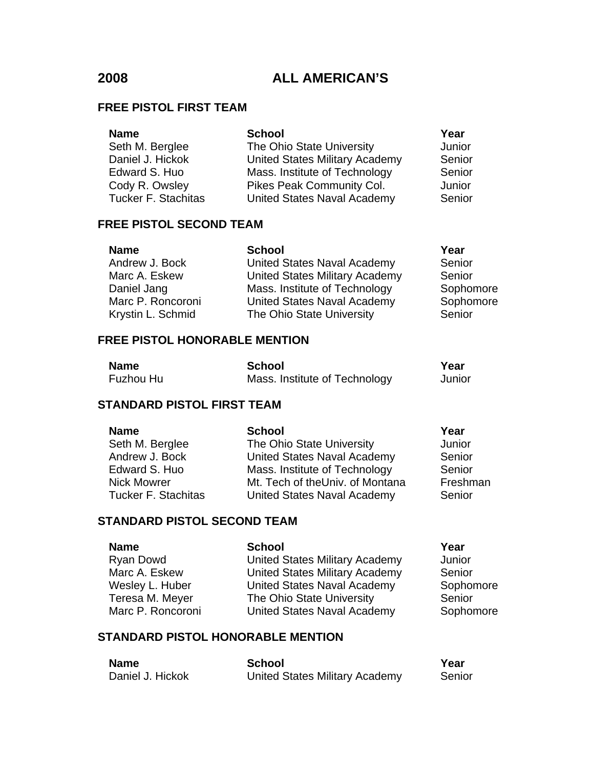### **FREE PISTOL FIRST TEAM**

| <b>Name</b>                | <b>School</b>                         | Year   |
|----------------------------|---------------------------------------|--------|
| Seth M. Berglee            | The Ohio State University             | Junior |
| Daniel J. Hickok           | <b>United States Military Academy</b> | Senior |
| Edward S. Huo              | Mass. Institute of Technology         | Senior |
| Cody R. Owsley             | Pikes Peak Community Col.             | Junior |
| <b>Tucker F. Stachitas</b> | <b>United States Naval Academy</b>    | Senior |

### **FREE PISTOL SECOND TEAM**

| <b>Name</b>       | <b>School</b>                         | Year      |
|-------------------|---------------------------------------|-----------|
| Andrew J. Bock    | <b>United States Naval Academy</b>    | Senior    |
| Marc A. Eskew     | <b>United States Military Academy</b> | Senior    |
| Daniel Jang       | Mass. Institute of Technology         | Sophomore |
| Marc P. Roncoroni | <b>United States Naval Academy</b>    | Sophomore |
| Krystin L. Schmid | The Ohio State University             | Senior    |

# **FREE PISTOL HONORABLE MENTION**

| <b>Name</b> | <b>School</b>                 | Year   |
|-------------|-------------------------------|--------|
| Fuzhou Hu   | Mass. Institute of Technology | Junior |

# **STANDARD PISTOL FIRST TEAM**

| <b>Name</b>                | <b>School</b>                      | Year     |
|----------------------------|------------------------------------|----------|
| Seth M. Berglee            | The Ohio State University          | Junior   |
| Andrew J. Bock             | United States Naval Academy        | Senior   |
| Edward S. Huo              | Mass. Institute of Technology      | Senior   |
| <b>Nick Mowrer</b>         | Mt. Tech of theUniv. of Montana    | Freshman |
| <b>Tucker F. Stachitas</b> | <b>United States Naval Academy</b> | Senior   |

# **STANDARD PISTOL SECOND TEAM**

| <b>Name</b>       | <b>School</b>                         | Year      |
|-------------------|---------------------------------------|-----------|
| Ryan Dowd         | United States Military Academy        | Junior    |
| Marc A. Eskew     | <b>United States Military Academy</b> | Senior    |
| Wesley L. Huber   | United States Naval Academy           | Sophomore |
| Teresa M. Meyer   | The Ohio State University             | Senior    |
| Marc P. Roncoroni | <b>United States Naval Academy</b>    | Sophomore |

# **STANDARD PISTOL HONORABLE MENTION**

| <b>Name</b>      | School                                | Year   |
|------------------|---------------------------------------|--------|
| Daniel J. Hickok | <b>United States Military Academy</b> | Senior |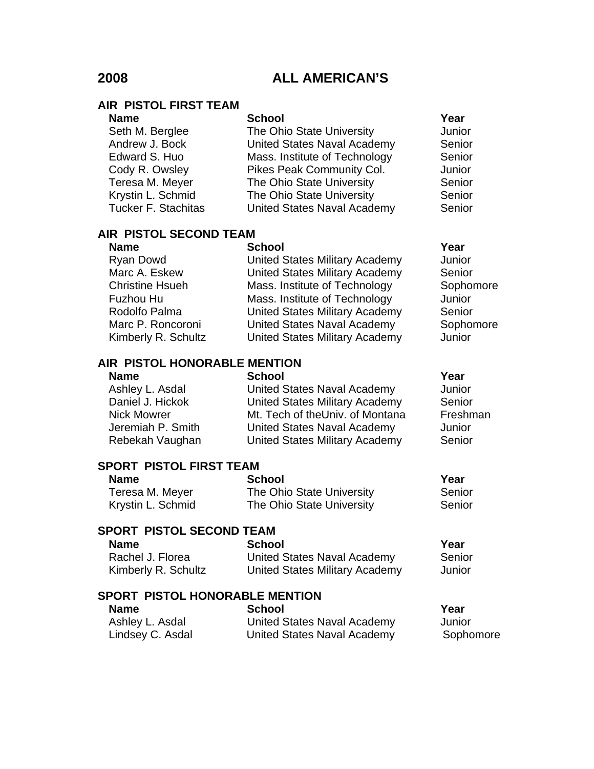### **AIR PISTOL FIRST TEAM**

| <b>Name</b>                | <b>School</b>                      | Year   |
|----------------------------|------------------------------------|--------|
| Seth M. Berglee            | The Ohio State University          | Junior |
| Andrew J. Bock             | <b>United States Naval Academy</b> | Senior |
| Edward S. Huo              | Mass. Institute of Technology      | Senior |
| Cody R. Owsley             | Pikes Peak Community Col.          | Junior |
| Teresa M. Meyer            | The Ohio State University          | Senior |
| Krystin L. Schmid          | The Ohio State University          | Senior |
| <b>Tucker F. Stachitas</b> | <b>United States Naval Academy</b> | Senior |
|                            |                                    |        |

# **AIR PISTOL SECOND TEAM**

| <b>Name</b>            | <b>School</b>                         | Year      |
|------------------------|---------------------------------------|-----------|
| Ryan Dowd              | <b>United States Military Academy</b> | Junior    |
| Marc A. Eskew          | <b>United States Military Academy</b> | Senior    |
| <b>Christine Hsueh</b> | Mass. Institute of Technology         | Sophomore |
| Fuzhou Hu              | Mass. Institute of Technology         | Junior    |
| Rodolfo Palma          | <b>United States Military Academy</b> | Senior    |
| Marc P. Roncoroni      | <b>United States Naval Academy</b>    | Sophomore |
| Kimberly R. Schultz    | <b>United States Military Academy</b> | Junior    |

## **AIR PISTOL HONORABLE MENTION**

Name School School **Year** Ashley L. Asdal **Contained States Naval Academy** Junior<br>
Daniel J. Hickok **Daniel Contained States Military Academy** Senior United States Military Academy Senior Nick Mowrer **Mt. Tech of theUniv. of Montana** Freshman Jeremiah P. Smith United States Naval Academy Junior Rebekah Vaughan United States Military Academy Senior

# **SPORT PISTOL FIRST TEAM**

| <b>Name</b>       | <b>School</b>             | Year   |
|-------------------|---------------------------|--------|
| Teresa M. Meyer   | The Ohio State University | Senior |
| Krystin L. Schmid | The Ohio State University | Senior |

# **SPORT PISTOL SECOND TEAM**

| <b>Name</b>         | <b>School</b>                  | Year   |
|---------------------|--------------------------------|--------|
| Rachel J. Florea    | United States Naval Academy    | Senior |
| Kimberly R. Schultz | United States Military Academy | Junior |

### **SPORT PISTOL HONORABLE MENTION**

| <b>Name</b>      | <b>School</b>                      | Year      |
|------------------|------------------------------------|-----------|
| Ashley L. Asdal  | <b>United States Naval Academy</b> | Junior    |
| Lindsey C. Asdal | United States Naval Academy        | Sophomore |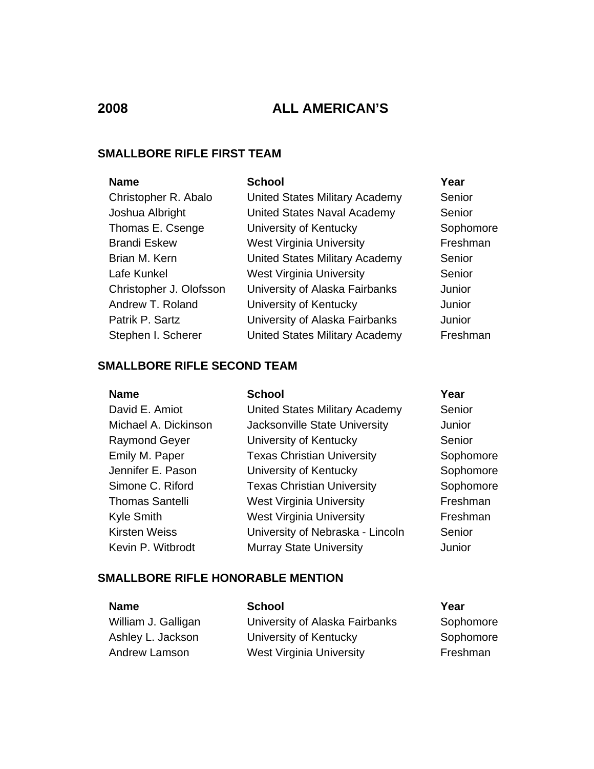# **SMALLBORE RIFLE FIRST TEAM**

| <b>Name</b>             | <b>School</b>                   | Year      |
|-------------------------|---------------------------------|-----------|
| Christopher R. Abalo    | United States Military Academy  | Senior    |
| Joshua Albright         | United States Naval Academy     | Senior    |
| Thomas E. Csenge        | University of Kentucky          | Sophomore |
| <b>Brandi Eskew</b>     | <b>West Virginia University</b> | Freshman  |
| Brian M. Kern           | United States Military Academy  | Senior    |
| Lafe Kunkel             | <b>West Virginia University</b> | Senior    |
| Christopher J. Olofsson | University of Alaska Fairbanks  | Junior    |
| Andrew T. Roland        | University of Kentucky          | Junior    |
| Patrik P. Sartz         | University of Alaska Fairbanks  | Junior    |
| Stephen I. Scherer      | United States Military Academy  | Freshman  |

# **SMALLBORE RIFLE SECOND TEAM**

| <b>Name</b>            | <b>School</b>                     | Year      |
|------------------------|-----------------------------------|-----------|
| David E. Amiot         | United States Military Academy    | Senior    |
| Michael A. Dickinson   | Jacksonville State University     | Junior    |
| <b>Raymond Geyer</b>   | University of Kentucky            | Senior    |
| Emily M. Paper         | <b>Texas Christian University</b> | Sophomore |
| Jennifer E. Pason      | University of Kentucky            | Sophomore |
| Simone C. Riford       | <b>Texas Christian University</b> | Sophomore |
| <b>Thomas Santelli</b> | <b>West Virginia University</b>   | Freshman  |
| <b>Kyle Smith</b>      | <b>West Virginia University</b>   | Freshman  |
| <b>Kirsten Weiss</b>   | University of Nebraska - Lincoln  | Senior    |
| Kevin P. Witbrodt      | <b>Murray State University</b>    | Junior    |

# **SMALLBORE RIFLE HONORABLE MENTION**

| <b>Name</b>         | <b>School</b>                   | Year      |
|---------------------|---------------------------------|-----------|
| William J. Galligan | University of Alaska Fairbanks  | Sophomore |
| Ashley L. Jackson   | University of Kentucky          | Sophomore |
| Andrew Lamson       | <b>West Virginia University</b> | Freshman  |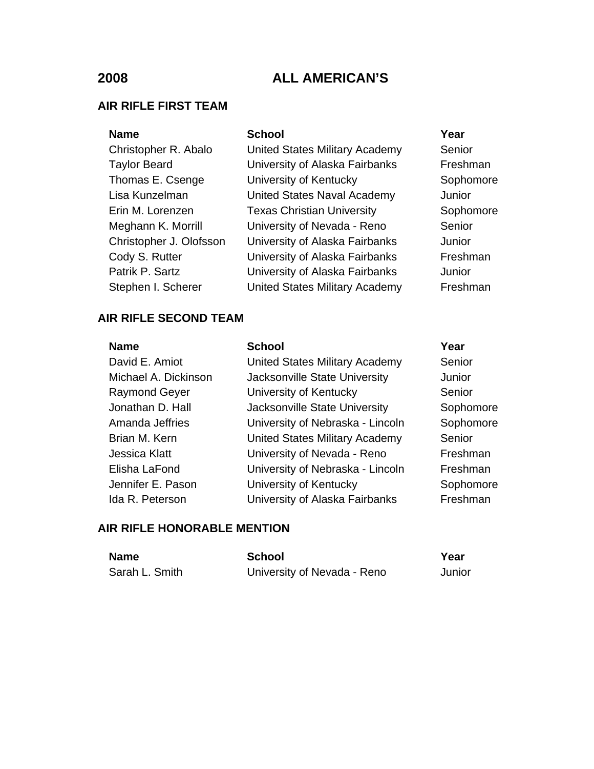### **AIR RIFLE FIRST TEAM**

### Name School School **Year**

Christopher R. Abalo United States Military Academy Senior Taylor Beard **Example 3** University of Alaska Fairbanks Freshman Thomas E. Csenge University of Kentucky Sophomore Lisa Kunzelman United States Naval Academy Junior Erin M. Lorenzen Texas Christian University Sophomore Meghann K. Morrill **University of Nevada - Reno** Senior Christopher J. Olofsson University of Alaska Fairbanks Junior Cody S. Rutter **University of Alaska Fairbanks** Freshman Patrik P. Sartz **University of Alaska Fairbanks** Junior Stephen I. Scherer **United States Military Academy** Freshman

## **AIR RIFLE SECOND TEAM**

| <b>Name</b>          | <b>School</b>                         | Year      |
|----------------------|---------------------------------------|-----------|
| David E. Amiot       | United States Military Academy        | Senior    |
| Michael A. Dickinson | Jacksonville State University         | Junior    |
| <b>Raymond Geyer</b> | University of Kentucky                | Senior    |
| Jonathan D. Hall     | Jacksonville State University         | Sophomore |
| Amanda Jeffries      | University of Nebraska - Lincoln      | Sophomore |
| Brian M. Kern        | <b>United States Military Academy</b> | Senior    |
| <b>Jessica Klatt</b> | University of Nevada - Reno           | Freshman  |
| Elisha LaFond        | University of Nebraska - Lincoln      | Freshman  |
| Jennifer E. Pason    | University of Kentucky                | Sophomore |
| Ida R. Peterson      | University of Alaska Fairbanks        | Freshman  |

# **AIR RIFLE HONORABLE MENTION**

| <b>Name</b>    | School                      | Year   |
|----------------|-----------------------------|--------|
| Sarah L. Smith | University of Nevada - Reno | Junior |